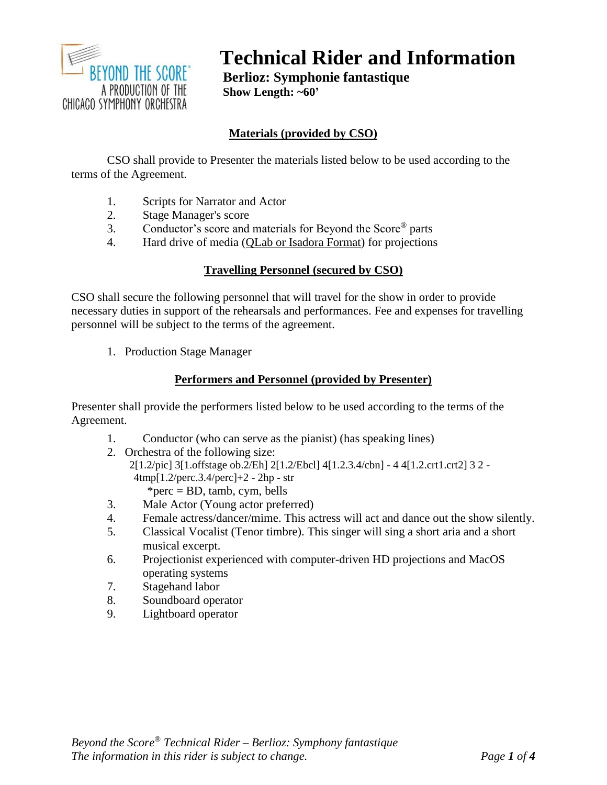

# **Technical Rider and Information**

**Berlioz: Symphonie fantastique Show Length: ~60'**

# **Materials (provided by CSO)**

CSO shall provide to Presenter the materials listed below to be used according to the terms of the Agreement.

- 1. Scripts for Narrator and Actor
- 2. Stage Manager's score
- 3. Conductor's score and materials for Beyond the Score® parts
- 4. Hard drive of media (QLab or Isadora Format) for projections

# **Travelling Personnel (secured by CSO)**

CSO shall secure the following personnel that will travel for the show in order to provide necessary duties in support of the rehearsals and performances. Fee and expenses for travelling personnel will be subject to the terms of the agreement.

1. Production Stage Manager

# **Performers and Personnel (provided by Presenter)**

Presenter shall provide the performers listed below to be used according to the terms of the Agreement.

- 1. Conductor (who can serve as the pianist) (has speaking lines)
- 2. Orchestra of the following size: 2[1.2/pic] 3[1.offstage ob.2/Eh] 2[1.2/Ebcl] 4[1.2.3.4/cbn] - 4 4[1.2.crt1.crt2] 3 2 - 4tmp[1.2/perc.3.4/perc]+2 - 2hp - str \*perc = BD, tamb, cym, bells
- 3. Male Actor (Young actor preferred)
- 4. Female actress/dancer/mime. This actress will act and dance out the show silently.
- 5. Classical Vocalist (Tenor timbre). This singer will sing a short aria and a short musical excerpt.
- 6. Projectionist experienced with computer-driven HD projections and MacOS operating systems
- 7. Stagehand labor
- 8. Soundboard operator
- 9. Lightboard operator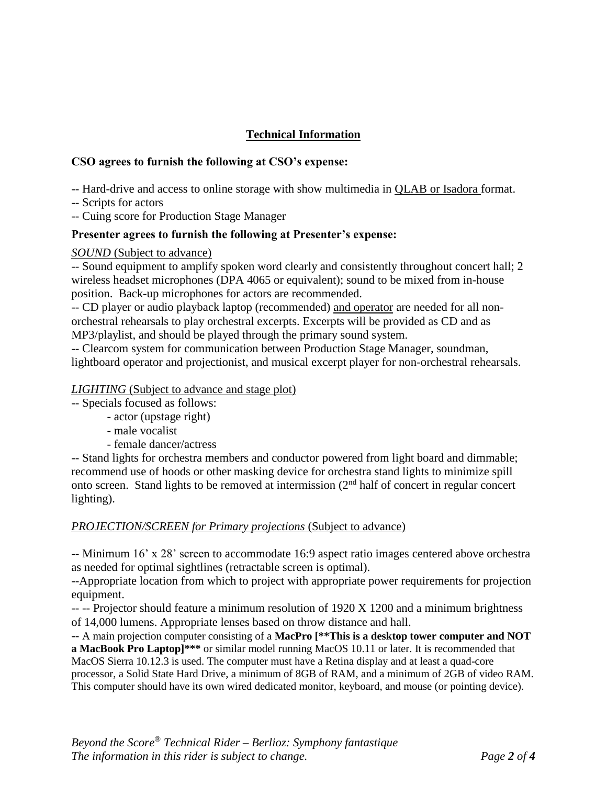# **Technical Information**

#### **CSO agrees to furnish the following at CSO's expense:**

-- Hard-drive and access to online storage with show multimedia in QLAB or Isadora format.

- -- Scripts for actors
- -- Cuing score for Production Stage Manager

#### **Presenter agrees to furnish the following at Presenter's expense:**

#### **SOUND** (Subject to advance)

-- Sound equipment to amplify spoken word clearly and consistently throughout concert hall; 2 wireless headset microphones (DPA 4065 or equivalent); sound to be mixed from in-house position. Back-up microphones for actors are recommended.

-- CD player or audio playback laptop (recommended) and operator are needed for all nonorchestral rehearsals to play orchestral excerpts. Excerpts will be provided as CD and as MP3/playlist, and should be played through the primary sound system.

-- Clearcom system for communication between Production Stage Manager, soundman, lightboard operator and projectionist, and musical excerpt player for non-orchestral rehearsals.

### *LIGHTING* (Subject to advance and stage plot)

-- Specials focused as follows:

- actor (upstage right)
	- male vocalist
	- female dancer/actress

-- Stand lights for orchestra members and conductor powered from light board and dimmable; recommend use of hoods or other masking device for orchestra stand lights to minimize spill onto screen. Stand lights to be removed at intermission (2nd half of concert in regular concert lighting).

## *PROJECTION/SCREEN for Primary projections* (Subject to advance)

-- Minimum 16' x 28' screen to accommodate 16:9 aspect ratio images centered above orchestra as needed for optimal sightlines (retractable screen is optimal).

--Appropriate location from which to project with appropriate power requirements for projection equipment.

-- -- Projector should feature a minimum resolution of 1920 X 1200 and a minimum brightness of 14,000 lumens. Appropriate lenses based on throw distance and hall.

-- A main projection computer consisting of a **MacPro [\*\*This is a desktop tower computer and NOT a MacBook Pro Laptop]\*\*\*** or similar model running MacOS 10.11 or later. It is recommended that MacOS Sierra 10.12.3 is used. The computer must have a Retina display and at least a quad-core processor, a Solid State Hard Drive, a minimum of 8GB of RAM, and a minimum of 2GB of video RAM. This computer should have its own wired dedicated monitor, keyboard, and mouse (or pointing device).